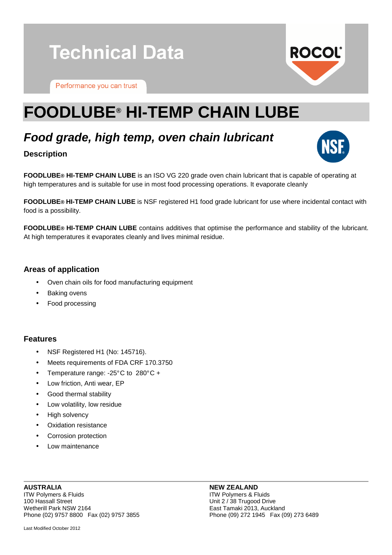# **Technical Data**

Performance you can trust

## **FOODLUBE® HI-TEMP CHAIN LUBE**

## **Food grade, high temp, oven chain lubricant**

### **Description**

**FOODLUBE® HI-TEMP CHAIN LUBE** is an ISO VG 220 grade oven chain lubricant that is capable of operating at high temperatures and is suitable for use in most food processing operations. It evaporate cleanly

**FOODLUBE® HI-TEMP CHAIN LUBE** is NSF registered H1 food grade lubricant for use where incidental contact with food is a possibility.

**FOODLUBE® HI-TEMP CHAIN LUBE** contains additives that optimise the performance and stability of the lubricant. At high temperatures it evaporates cleanly and lives minimal residue.

### **Areas of application**

- Oven chain oils for food manufacturing equipment
- Baking ovens
- Food processing

### **Features**

- NSF Registered H1 (No: 145716).
- Meets requirements of FDA CRF 170.3750
- Temperature range: -25° C to 280° C +
- Low friction, Anti wear, EP
- Good thermal stability
- Low volatility, low residue
- High solvency
- Oxidation resistance
- Corrosion protection
- Low maintenance

### **AUSTRALIA** ITW Polymers & Fluids 100 Hassall Street Wetherill Park NSW 2164 Phone (02) 9757 8800 Fax (02) 9757 3855

### **NEW ZEALAND**

ITW Polymers & Fluids Unit 2 / 38 Trugood Drive East Tamaki 2013, Auckland Phone (09) 272 1945 Fax (09) 273 6489